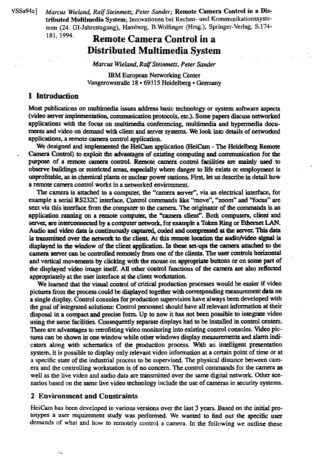VSSa94aI *Marcui* **W~iand,** *RalfSreinmefr; Perer Sander;* Remote Camera Control in **a** Distributed Multimedia System; Innovationen bei Rechen- und Kommunikationssysternen (24. GI-Jahrestagung), Hamburg, B.Wolfinger (Hrsg.), Springer-Verlag, S.174-

# 181, 1994. **Remote Camera Control in a Distributed Multimedia System**

*Marcics Wieland, Rar Steinmetz, Peter Sander* 

IBM European Networking Center Vangerowstraße 18 • 69115 Heidelberg • Germany

# **1 Introduction**

Most pubiications on multimedia issues address basic technology or system software aspects (video server implementation, communication protocols, etc.). Some papers discuss networked applications with the focus on multimedia conferencing, multimedia and hypermedia documents and video on demand with client and server systems. We look into details of networked appiications, a remote **camera** control appiication.

We designed and implemented the HeiCam application (HeiCam - The Heidelberg Remote Camera Control) to exploit the advantages of existing computing **and** communication for the purpose of a remote camera control. Remote camera control facilities are mainly used to observe buildings or restricted areas, especially where danger to life exists or employment is unprofitable, as in chemical plants or nuclear power stations. First, let us describe in detail how a remote camera control works in a networked environment.

The camera is attached to a computer, the "camera server", via an electrical interface, for example a **serial** RS232C interiace. Control commands **like** "'move". "zoom" and **'Yocus"** are sent via this interface from the computer to the camera. The originator of the commands is an application running on a remote computer, the "camera client". Both computers, client and server, are interconnected by a computer network, for example a Token Ring or Ethernet LAN. Audio and video data is continuously captured, coded and compressed at the server. This data is transmitted over the network to the client. At this remote location the audio/video signal is dispiayed in **the** window of **the** ciient **appiication.** In thcse set-ups **the** *canua* **attachcd to the**  camera server can be controlled remotely from one of the clients. The user controls horizontal and vertical movements **by** clicking **with** the **mouse** on appropriaa buttons or on **somc part** of the displayed video image itself. All other control functions of the camera are also reflected appropriately at the user interface at the client workstation.

We learned that the visual control of critical production processes would be easier if video pictures from the process could be displayed together with corresponding measurement data on a single display. Control consoles for production supervision have aiways **been** developed with the goal of integratcd solutions: Control personnel should have **aU** relevant infomtion at their disposal in a compact and **precise** fonn. Up to now it has not been possible to **integrate** video using the same faciities. Consequently separate displays had to be installed in control Centers. There are advantages to retrofitting video monitoring into existing control consoles. Video pictures can be shown in one window while other windows display measurements and alarm indicators along with schematics of the production process. With an intelligent presentation system, it is possible to display only relevant video information at a certain point of time or at a specific state of the industrial process to be supervised. The physical distance between camera and the controlling workstation is of no concern. The control commands for the camera as weii **as** the live video and audio data are transmitted over the **Same** digital network. Other scenarios based on the same live video technology include the use of cameras in security systems.

# 2 Environment and Constraints

HeiCam has been developed in various versions over the last 3 years. Based on the initial prototypes a user requirement study was performed. We wanted to find out the specific user demands of what and how to remotely control a camera. In the following we outline these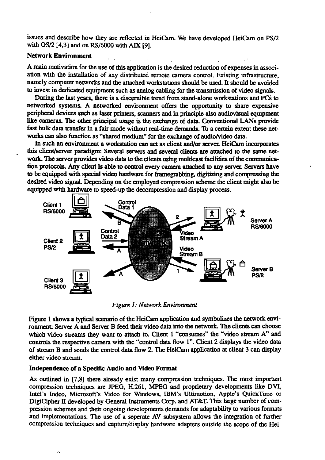issues and describe how they are reflected in HeiCam. We have developed HeiCam on PS/2 with OS/2 [4,3] and on *RS*/6000 with AIX [9].

# Network Environment

A **main** motivation for the **use** of this application is the desired reduction of expenses in association with the installation of any distributed remote camera control. Existing infrastructure, namely computer networks and the attached workstations should be used. It should be avoided to invcst in **dedicated** equipment such **as** analog cabling for the transmission of video signais.

During the last **years.** there **is** a discernible trend from stand-aione workstations and **PCS** to networked systems. A networked environment offers the opportunity to share expensive peripheral devices such as laser printers, scanners and in principle also audiovisual equipment like cameras. The other principal usage is the exchange of data. Conventional LANs provide fast bulk data transfer in a fair mode without real-time demands. To a certain extent these networks can also function as "shared medium" for the exchange of audio/video data.

In such an environment a workstation can act as client and/or server. HeiCam incorporates this client/server paradigm: Several servers and several clients are attached to the same network. The server provides video data to the clients using multicast facilities of the communication **protocoIs** Any client **is** able **to** control **evay** camaa **attachcd to** any ma Servcrs have to be equipped with special video hardware for framegrabbing, digitizing and compressing the desired video signal. Depending on the employed compression scheme the client might also be equipped with hardware to speed-up the decompression and display process. this client/server paradigm: Several servers and several clients are attached<br>work. The server provides video data to the clients using multicast facilities of<br>tion protocols. Any client is able to control every camera att



*Figure I: Network Environment* 

Figure 1 shows a typical scenario of the HeiCam application and symbolizes the network environment: **Servcr** A and Server B feed their video data into the network. The clients **can** choose which video streams they want to attach to. Client 1 "consumes" the "video stream A" and controis the respective carnera with the "control data flow **1".** Client 2 **displays** the video data of stream B and sends the control data flow 2. The HeiCam application at client 3 can display either video stream.

# Independence of a Specik Audio and Video Format

 $\mathbf{c}$ 

As outlined in [7,8] there already exist many compression techniques. The most important compression techniques are JPEG, H.261, MPEG and proprietary developments like DVI, Intel's Indeo, Microsoft's Video for Wmdows, IBM's Ultimotion, Apple's QuickTime or DigiCipher **ii** developed by Generai Instruments Corp. and AT&T. This large number of compression schemes and their ongoing developments demands for adaptability to various formats and implementations. The use of a seperate AV subsystem allows the integration of further compression techniques and capture/display hardware adapters outside the scope of the Hei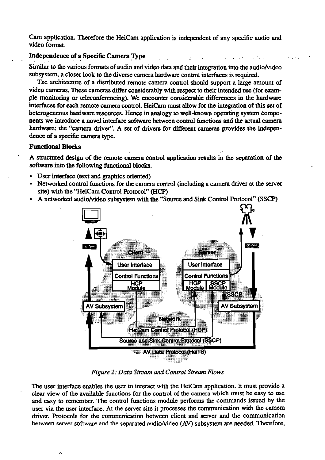Cam application. Therefore the HeiCam application is independent of any specific audio and video format

# **Independence of a Specific Camera Type <b>Independence** of a Specific Camera **Type**

Similar to the various formats of audio and video data and their integration into the audio/video subsystem, a closer look to the diverse camera hardware control interfaces is required.

The architecture of a distributed remote camera control should support a large amount of video cameras. These cameras differ considerably with **respect to** their intended **use** (for example monitoring or teleconferencing). We encounter considerable differences in the hardware interfaces for cach rcmote camera control. HeiCam must aiiow for the integration of **this** sct of heterogeneous hardware resources. Hence in analogy to well-known operating system components we introduce a novel interface software between control functions and the actual camera hardware: the **"camera** driver". A sct of drivers for different cameras provides the **indepen**dence of a specific camera **type.** 

# **Functional Blocks**

A **stnichired** design of the remote camaa control application **nsults** in the separation of the software into the following functional blocks.

- User interface (text and graphics oriented)
- Networked control functions for the camera control (including a camera driver at the server site) with the 'HeiCam Control Rotocol" **(HCP)**
- A networked audio/video subsystem with the "Source and Sink Control Protocol" (SSCP)



*Figure 2: Data Stream and Control Stream Flows* 

The user interface enables the user to interact with the HeiCam application. It must provide a clear view of the available functions for the control of the camera which must **be** easy **to** use and easy **to** remember. The control functions module performs the commands issued by the user via the user interface. At the server site it processes the communication with the camera driver. Protocols for the communication between client and scrver and the communication between **server** software and **the** separated audiolvideo (AV) subsystem are needed. Therefore,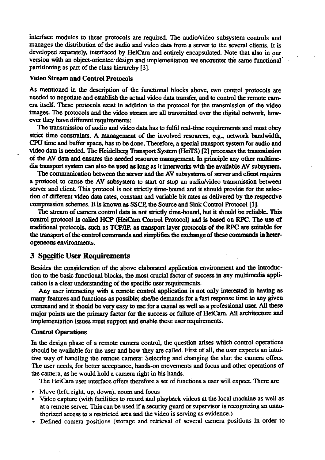interface modules to these protocols are required. The audio/video subsystem controls and rnanages the distribution of the audio **and** video data from a server to the several clients. It is developed separately, interfaced by HeiCam and entirely encapsulated. Note that also in our version with an object-oriented design and implementation we encounter the same functional partitioning as part of the class hierarchy [3].

# Video Stream **and** Contml Pmtoeois

As mentioned in the description of the functional blocks above, two control protocols are needed **to** negotiate and establish the **actual** video data **transfer,** and to control the remote **cam**era itself. These protocols exist in addition to the protocol for the transmission of the video images. The protocols and the video stream are all transmitted over the digital network, how**cver** they have different requirements:

The transmission of audio and video data has to fulfil real-time requirements and must obey strict time constraints. A management of the involved resources, e.g., network bandwidth, CPU time **and** buffer **space, has to** be done. Therefore, a Special **transport** systun for audio and video data is needed. The Heidelberg Transport System (HeiTS) [2] processes the transmission of the AV data and ensures the needed resource management. In principle any other multime**dia transport** system **can** also be **uscd as** long **as** it interworks withthe available **AV** subsystau

The communication between the server and the AV subsystems of server and client requires a protocol to cause the AV subsystem to start or stop an audio/video transmission between server and client. This protocol is not strictly time-bound and it should provide for the selection of different video data rates, constant and variable bit rates as delivered by the respective compression schemes. It is known as SSCP, the Source and Sink Control Protocol [1].

The stream of **camcra** control data is not strictiy time-bound. but **it** should be rdiable. **This**  control mtocol **is ded** HCP (HciCam Control Rotocol) **and is** bascd on **RPC. Thc usc of**  traditional protocols, such as TCP/IP, as transport layer protocols of the RPC are suitable for the transport of the control commands and simplifies the exchange of these commands in heterogeneous environmcnts.

# **3 Specific User Requirements**

Bcsides the consideration of the above **elaborated** appiication environment and the introduction **to** the basic functional blocks. the most crucial factor of **success** in any multimedia application is a clear understanding of the specific user requirements.

Any user interacting with a remote control application is not only interested in having as many features and functions as possible; she/he demands for a fast response time to any given cornrnand and it should be very easy **to usc** for a **casual as weil** as a professional **user.** AU these major points are the primary factor for the success or failure of **HeiCam** AU **architectm aad**  implementation issues must support and enable these user requirements.

# Control Operations

In the design phase of a remote camera control, the question arises which control operations shouid be available for the user and how they **are** called. Fist of all, the user expects an **inhii**tive way of handling the remote camera: Selecting and changing the shot the camera offers. The user needs, for **bettet** acceptance. hands-on movements and focus and other operations of the camera, as he wouid hold a camera right in **his** hands.

The HeiCam user interface offers therefore a set of functions a user will expect. There are

- $\bullet$  Move (left, right, up, down), zoom and focus
- Video captute (with facilities **to** rccord and playback videos at the local machine as weii as at a remote server. This can be used **if** a **security** guard or supervisor is recognizing an unauthorized access to a restricted area and the video is serving as evidence.)
- Defined camera positions (storage and retrieval of several camera positions in order to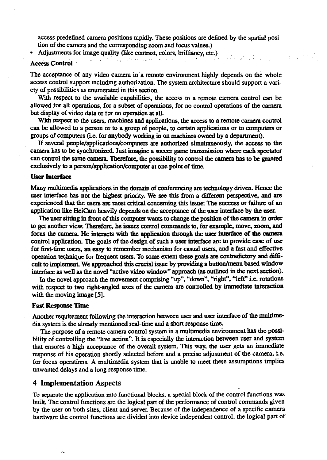access predefined camera positions rapidly. These positions are defined by the spatiai position of the camera and the corresponding zoom and focus values.)

 $\mathcal{L}_{\text{max}}$  , and  $\mathcal{L}_{\text{max}}$ 

Adjustments for image quality (like contrasf colors, **brilliancy,** etc.)

# **Access Control**

The acceptance of any video camera in a remote environment highly depends on the whole access control support including authorization. The system architecture should support a variety of possibilities **as** enumerated in this section.

Wlth respect **to** the available capabilities, the access **to** a remote camera conkoi can be allowed for all operations, for a subset of operations, for no control operations of the camera but display of video **data** or for no opaation **at eil.** 

With respect to the users, machines and applications, the access to a remote camera control can be allowed **to** a petson or **to** a gcoup of peopk. **to** certain appiications or **to** cornputcas **or**  gcoups of cornpute~s **(ie.** for anybody wodring **in** on **machines** owned by a department).

If several people/applications/computers are authorized simultaneously, the access to the camera has to be synchronized. Just imagine a soccer game transmission where each spectator can control the same camera. Therefore, the possibility to control the camera has to be granted exclusively to a person/application/computer at one point of time.

# **User Interface**

Many multimedia applications in the domain of conferencing are technology driven. Hence the user **interface has** not the highest priority. We **see** this from a different paspectivc. **and are**  experienced that the users **an most** aiticai wncemiag **this issue:** The **suaxss or** failure of an application like HeiCam heavily depends on the acceptance of the user interface by the user.

The user sitting in front of this computer wants to change the position of the camera in order **to get** another view. **'Iherefore. he** issues control comrnands **to.** for **exampie. move,** *zoom.* **and**  focus the camera. He interacts with the application through the user interface of the camera control appiication 'Ihe goals of the design of such a **uscr inictface are to** provide **ease** of **use**  for 6rst-time **users.** an **easy to mnember** mechanism for **casual users,** and a fast and effedve operation technique for frequent users. To some extent these goals are contradictory and difficult to implement. We approached this crucial issue by providing a button/menu based window **interface as** weil **as thc** novcl "active **video** window" approach (as outlined in the next scction).

In the novel approach the movement comprising "up", "down", "right", "left" i.e. rotations with respect to two right-angled axes of the camera are controlled by immediate interaction with the moving image [5].

#### **Fast Response Time**

Another requirement following the interaction between user and user interface of the multimedia System is the aiready mentioned real-iime **and** a short response time.

The purpose of a remote camera control system in a multimedia environment **has** the **possi**bility of controlling the "live action". It is especially the interaction between user and system that ensures a high acceptance of the overall system. This way, the user gets an immediate response of his operation shortly selected before and a precise adjustment of the camera. i.e. for focus operations. A muitimedia System that is unable **to** meet these assumptions implies unwanted delays and a long response time.

# **4 Implementation Aspects**

ч'n.

To separate the application into functional blocks, a special block of the control functions was built. The control functions are the logical part of the performance of control commands given by the **User** on both sites, client and Server. Because of the independence of a specific camera hardware the control functions are divided into device independent control, the logical part of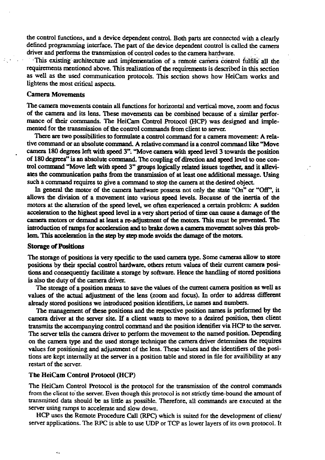the control functions, and a device dependent control. Both parts are connected with a clearly defined programming interface. The part of the device dependent control is called the camera driver and performs the transmission of control codes to the camera hardware.

**.This** existing **architecture anti** implementation of a remote carnera control fulfils aii the requirements mentioned above. This realization of the requirements is described in this section as weil **as** the used cornmunication protocols. This section shows how HeiCam works and lightens the most criticai aspects.

# Camera Movements

The **camcra** movements contain ail functions for horizontal **and** vertical move. Zoom and focus of the **camera** and its lens. These movements **can** be combined because of a sirnilar performance of their commands. The HeiCam Control Protocol (HCP) was designed and implemented for the transmission of the control commands from client to server.

There are two possibilities to formulate a control command for a camera movement: A relative command or an absolute command. A relative command is a control command like "Move camera 180 degrees left with speed 3". "Move camera with speed level 3 towards the position of **180 degms" is aa** absolute coinmand. **The** coupling of direction **and spced** level to one control command "Move left with speed 3" groups logically related issues together, and it alleviates the communication paths from the transmission of at least one additional message. Using such a command requires to give a command to stop the camera at the desired object.

in general **the** motor of the **camaa hardware** possess not only **thc** state **"On" ar "OE".** it allows the division of a movement into various speed levels. Because of the inertia of the motors at the alteration of the speed level, we often experienced a certain problem: A sudden acceleration to the highest speed level in a very short period of time can cause a damage of the **camera** wtors **or** demand **at** least a raadjustment **of the** moto~~. **Tbis** must be **prcventtd** The introduction of ramps for acceleration and to brake down a camera movement solves this prob-**Lcm This** actclcraton in **tnc step by stcp mode** avoids the damage **of** the motors.

# **Storage of Positions**

**Thc** storage of positions **is** very specific to **the used camera type.** Some carneras ailow **to** *store*  positions by their special control hardware, others return values of their current camera positions and consequentiy **facilitate** a Storage by software. Hence the handling of **stored** positions **is** also the duty of the camera driver.

The storage of a position **means** to save the values of **thc** current **camcra** position **as** weil as vaiues of the **actual** adjustment of the kns (zoom and focus). in order to address different already **stored** positions we introduced position identiiias, ie **names** and numbers.

The management of these positions and the respective position names is performed by the camera driver at the server site. If a client wants to move to a desired position, then client transmits the accompanying control command and the position identifier via HCP to the server. The server tells the camera driver to perform the movement to the named position. Depending on the camaa **type** and the used Storage technique the camem driver determines the requires values for positioning and adjustrnent of **thc** lens. These values and the identifiers of the positions are kept internally at the server in a position table and stored in file for availibility at any restart of the server.

# The HeiCam Control Protocol (HCP)

The HeiCam Control Rotocol is the protocol for the transmission of the control commands from the client to the server. Even though this protocol is not strictly time-bound the amount of transmitted data should be as littlc **as** possible. Therefore. aii commands are executed at the server using ramps **to** accelerate and slow down.

HCP uses the Remote Procedure Call (RPC) which is suited for the development of client/ Server applications. The RPC is able to use UDP or TCP as lower layers of **its** own protocol. It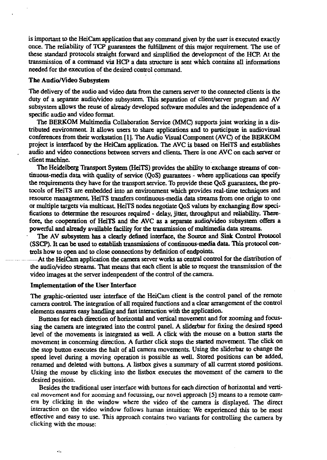is important to the HeiCam application that any command given by the user is executed exactly once. The reliability of **TCP** guarantees the fulfiüment of this rnajor requirernent. The use of these standard protocols straight forward and simplified the development of the HCP. At the transmission of a command via HCP a data stnicture is sent which contains ali informations needed for the execution of the desired control command.

# **The Audio/Video Subsystem**

The delivery of the audio and video data from the camera server to the connected clients is the duty of a separate audio/video subsystem. This separation of client/server program and AV subsystem aliows the reuse of aiready developed **software** modules and the independence of a specific audio and video format.

**The** BERKOM Muitimdia Coilaboration Service **(MMC)** supports joint working in a distributed environment. It allows usas to share appiications **and** to participate in audiovisual conferences from their workstation [1]. The Audio Visual Component (AVC) of the BERKOM project is inteafaccd by the HeiCam application. The AVC **is** based on HeiTS and establishes audio and video connections between servers and clients. There is one AVC on each server or ciient machine.

The Heidelberg Transport System (HeiTS) provides the ability to exchange streams of continuous-media data with quaiity of service (QoS) **guarantees** - where appiications **can specify**  the requirements they have for the transport service. To provide these QoS guarantees, the protocols of HeiTS are embedded into an environment which provides real-time techniques and resource management. HeiTS transfers continuous-media data streams from one origin to one or multiple targets via multicast. HeiTS nodes negotiate QoS values by exchanging flow specifications to determine the resources required - delay, jitter, throughput and reliability. Therefore, the cooperation of HeiTS and the AVC as a separate audio/video subsystem offers a powerful and already available facility for the transmission of multimedia data streams.

The AV subsystem has a clearly defined interface, the Source and Sink Control Protocol (SSCP). It can be used to establish transmissions of continuous-media data. This protocol controls how to open and to close connections by definition of endpoints.

At the HeiCam application the camera server works as central control for the distribution of the audio/video streams. That means that each client is able to request the transmission of the video images at the server indenpendent of the control of the camera.

# **Implementation of the User Interface**

 $\mathcal{L}_{\infty}$ 

The graphic-oriented user interface of the HeiCam client is the control panel of the remote camera control. The integration of all required functions and a clear arrangement of the control elements **ensures** easy handling and fast interaction with the appiication.

Buttons for each direction of horizontal and vertical movement and for zooming and focussing the camera are integrated into the control panel. A sliderbar for fixing the desired speed level of the movements is integrated as well. A click with the mouse on a button starts the movement in concerning direction. A further click stops the started movement. The click on the stop button executes the halt of all camera movements. Using the sliderbar to change the speed level during a moving operation is possible as well. Stored positions can be added, renamed and deleted with buttons. A listbox gives a summary of all current stored positions. Using the mouse by clicking into the iistbox executes the movement of the camera to the desired position.

Besides the traditional user interface with buttons for each direction of horizontal and vertical movement and for zooming and focussing, our novel approach [5] means to a remote camera by cticking in the window where the video of the camera **is** displayed. The direct interaction on the video window follows human intuition: We expenenced this to **be** most effective and easy to use. This approach contains two variants for controlling the camera by clicking with the mouse: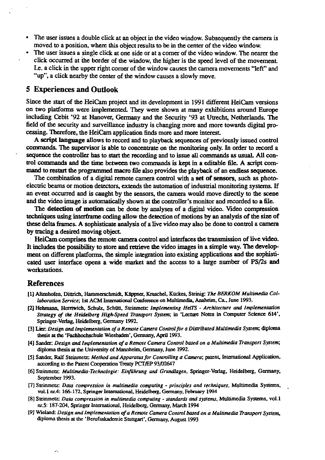- $\bullet$ The user issues a double click at an object in the video window. Subsequently the camera is rnoved to a position, **where this** object results to **be** in the center of the video window.
- The user issues a single click at one side or at a corner of the video window. The nearer the click occurred at the border of the window, the higher is the **speed** level of the rnovement Le. a click in the upper nght corner of the window causes the camera rnovernents "left" and "up", a click nearby the center of the window causes a slowly move.

# **5 Experiences and Outlook**

Since the start of the HeiCam project and its development in 1991 different HeiCam versions on two piatforms wae implemented. They **were** shown at many exhibitions mund Ewope including Cebit '92 at Hanover, Germany and the Security '93 at Utrecht, Netherlands, The field of the security and surveillance industry is changing more and more towards digital processing. Therefore, the HeiCam application finds more and more interest.

**A script language** allows to record and to piayback sequences of previously issued control commands. The supervisor is able to concentrate on the monitoring only. In order to record a sequence the controller has to start the recording and to issue all commands as usual. All control commands and the time between two commands is kept in a editable file. A script command to restart the programmed macro file also provides the playback of an endless sequence.

The combination of a **digital** remote camera control with a **set of sensors.** such **as** photoektcic **beams** or rnotion **detectors,** extends the autornation of indusmal rnonitoring Systems. **if**  an event **occurred** and **is** caught by the Sensors. the camera would rnove **directly** to the scene and the video image is automatically shown at the controller's monitor and recorded to a file.

The **detection of motion** can be done by analyses of a digital video. Video compression kcbniques using **intmhmc** coding aüow **the** deteciion of motions **by** an analysis of **thc** sizc of thesc delta frames A sophisticate analysis of a live video may also be done to control a **camem**  by tracing a desired moving object.

HeiCam comprises the remote camera control and interfaces the transmission of live video. It includes **thc** possibiity to store **and** retrieve **thc** video **images** in a simple way. **The** development on different platforms, the simple integration into existing applications and the sophisticated user interface opens a wide market and the access to a large number of PS/2s and workstations.

# **References**

 $\mathcal{L}_\mathbf{a}$ 

- [1] Altenhofen, Dittrich, Hammerschmidt, Käppner, Kruschel, Kückes, Steinig: The BERKOM Multimedia Col**loborafion Service; 1st ACM inieanaiimal** Confereoce **an Multimedia. Anaheim. Ca, June 1993.**
- 12] Hehmann, Herrtwich, Schulz, Schütt, Steinmetz: *Implementing HeiTS Architecture and Implementation* Strategy of the Heidelberg High-Speed Transport System; in 'Lecture Notes in Computer Science 614'. Springer-Verlag, Heidelberg. Germany 1992.
- [3] Lier. Design and Implementation of a Remote Camera Control for a Distributed Multimedia System; diploma **thsis at tbe 'Fachhochschule Wiesbaden'. Ganmy.** Apd **1993.**
- [4] Sander: Design and Implementation of a Remote Camera Control based on a Multimedia Transport System; **diploma thesis at ihe Univasiiy of MaMheim. Germany, June 1992.**
- [5] Sander, Ralf Steinmetz: *Method and Apparatus for Controlling a Camera*; patent, International Application, according to the Patent Cooperation Treaty PCT/EP 93/02647
- **[6] Steinmeh: Multimedia-Technologie: Eimhrung und Grundlagen. Springer-Verlag. Heidelberg, Germany. September 1993.**
- [7] Steinmetz: Data compression in multimedia computing principles and techniques. Multimedia Systems, **V01 1 w.4: 166-172. Springer lntanational. Heidelkg. Gamany. Fehuary 1994**
- $[8]$  Steinmetz: Data compression in multimedia computing standards and systems, Multimedia Systems, vol.1 **m.5: 187-204, Springer lntemational. Heidelberg. Gtmiany. March 1994**
- **L91 Wiebnd: Design and Implementafion ofa Remofe Camera Coniml bared on a Multimedia i7mpot-f System diploma thesis at the 'Benifsaicademie StungaR'. Gamany. August 1993**